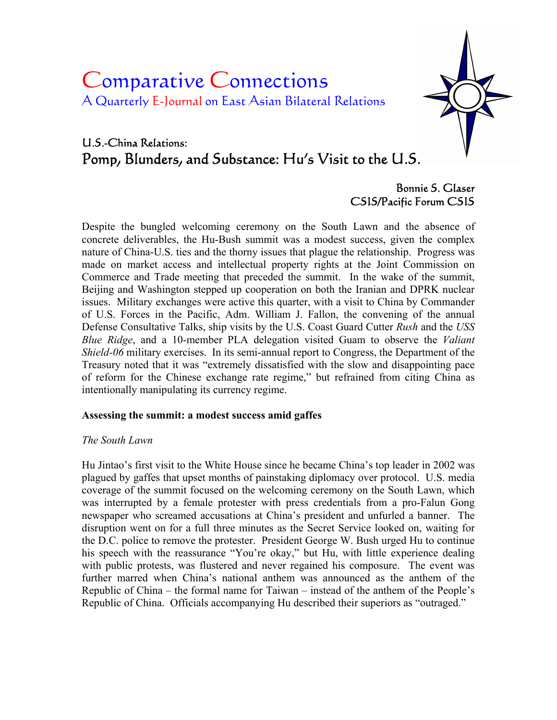# Comparative Connections A Quarterly E-Journal on East Asian Bilateral Relations



# U.S.-China Relations: Pomp, Blunders, and Substance: Hu's Visit to the U.S.

# Bonnie S. Glaser CSIS/Pacific Forum CSIS

Despite the bungled welcoming ceremony on the South Lawn and the absence of concrete deliverables, the Hu-Bush summit was a modest success, given the complex nature of China-U.S. ties and the thorny issues that plague the relationship. Progress was made on market access and intellectual property rights at the Joint Commission on Commerce and Trade meeting that preceded the summit. In the wake of the summit, Beijing and Washington stepped up cooperation on both the Iranian and DPRK nuclear issues. Military exchanges were active this quarter, with a visit to China by Commander of U.S. Forces in the Pacific, Adm. William J. Fallon, the convening of the annual Defense Consultative Talks, ship visits by the U.S. Coast Guard Cutter *Rush* and the *USS Blue Ridge*, and a 10-member PLA delegation visited Guam to observe the *Valiant Shield-06* military exercises. In its semi-annual report to Congress, the Department of the Treasury noted that it was "extremely dissatisfied with the slow and disappointing pace of reform for the Chinese exchange rate regime," but refrained from citing China as intentionally manipulating its currency regime.

# **Assessing the summit: a modest success amid gaffes**

#### *The South Lawn*

Hu Jintao's first visit to the White House since he became China's top leader in 2002 was plagued by gaffes that upset months of painstaking diplomacy over protocol. U.S. media coverage of the summit focused on the welcoming ceremony on the South Lawn, which was interrupted by a female protester with press credentials from a pro-Falun Gong newspaper who screamed accusations at China's president and unfurled a banner. The disruption went on for a full three minutes as the Secret Service looked on, waiting for the D.C. police to remove the protester. President George W. Bush urged Hu to continue his speech with the reassurance "You're okay," but Hu, with little experience dealing with public protests, was flustered and never regained his composure. The event was further marred when China's national anthem was announced as the anthem of the Republic of China – the formal name for Taiwan – instead of the anthem of the People's Republic of China. Officials accompanying Hu described their superiors as "outraged."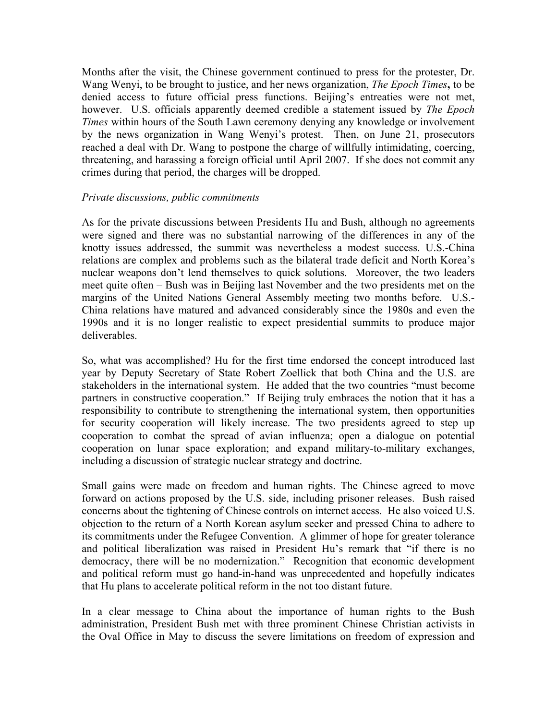Months after the visit, the Chinese government continued to press for the protester, Dr. Wang Wenyi, to be brought to justice, and her news organization, *The Epoch Times***,** to be denied access to future official press functions. Beijing's entreaties were not met, however. U.S. officials apparently deemed credible a statement issued by *The Epoch Times* within hours of the South Lawn ceremony denying any knowledge or involvement by the news organization in Wang Wenyi's protest. Then, on June 21, prosecutors reached a deal with Dr. Wang to postpone the charge of willfully intimidating, coercing, threatening, and harassing a foreign official until April 2007. If she does not commit any crimes during that period, the charges will be dropped.

#### *Private discussions, public commitments*

As for the private discussions between Presidents Hu and Bush, although no agreements were signed and there was no substantial narrowing of the differences in any of the knotty issues addressed, the summit was nevertheless a modest success. U.S.-China relations are complex and problems such as the bilateral trade deficit and North Korea's nuclear weapons don't lend themselves to quick solutions. Moreover, the two leaders meet quite often – Bush was in Beijing last November and the two presidents met on the margins of the United Nations General Assembly meeting two months before. U.S.- China relations have matured and advanced considerably since the 1980s and even the 1990s and it is no longer realistic to expect presidential summits to produce major deliverables.

So, what was accomplished? Hu for the first time endorsed the concept introduced last year by Deputy Secretary of State Robert Zoellick that both China and the U.S. are stakeholders in the international system. He added that the two countries "must become partners in constructive cooperation." If Beijing truly embraces the notion that it has a responsibility to contribute to strengthening the international system, then opportunities for security cooperation will likely increase. The two presidents agreed to step up cooperation to combat the spread of avian influenza; open a dialogue on potential cooperation on lunar space exploration; and expand military-to-military exchanges, including a discussion of strategic nuclear strategy and doctrine.

Small gains were made on freedom and human rights. The Chinese agreed to move forward on actions proposed by the U.S. side, including prisoner releases. Bush raised concerns about the tightening of Chinese controls on internet access. He also voiced U.S. objection to the return of a North Korean asylum seeker and pressed China to adhere to its commitments under the Refugee Convention. A glimmer of hope for greater tolerance and political liberalization was raised in President Hu's remark that "if there is no democracy, there will be no modernization." Recognition that economic development and political reform must go hand-in-hand was unprecedented and hopefully indicates that Hu plans to accelerate political reform in the not too distant future.

In a clear message to China about the importance of human rights to the Bush administration, President Bush met with three prominent Chinese Christian activists in the Oval Office in May to discuss the severe limitations on freedom of expression and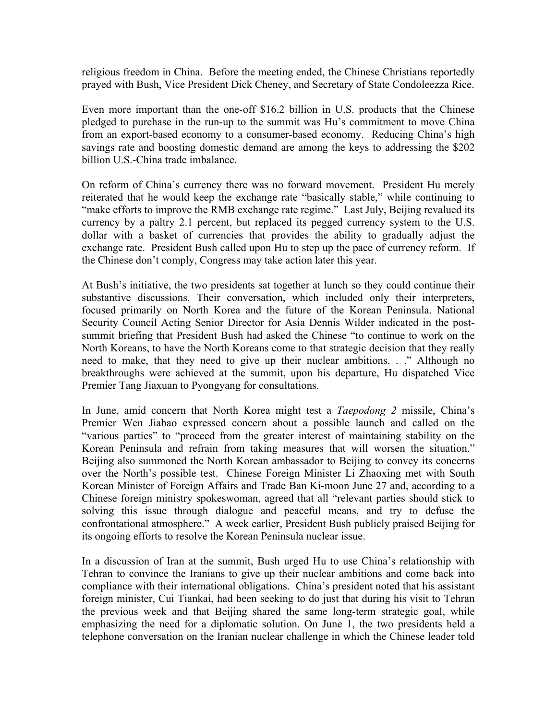religious freedom in China. Before the meeting ended, the Chinese Christians reportedly prayed with Bush, Vice President Dick Cheney, and Secretary of State Condoleezza Rice.

Even more important than the one-off \$16.2 billion in U.S. products that the Chinese pledged to purchase in the run-up to the summit was Hu's commitment to move China from an export-based economy to a consumer-based economy. Reducing China's high savings rate and boosting domestic demand are among the keys to addressing the \$202 billion U.S.-China trade imbalance.

On reform of China's currency there was no forward movement. President Hu merely reiterated that he would keep the exchange rate "basically stable," while continuing to "make efforts to improve the RMB exchange rate regime." Last July, Beijing revalued its currency by a paltry 2.1 percent, but replaced its pegged currency system to the U.S. dollar with a basket of currencies that provides the ability to gradually adjust the exchange rate. President Bush called upon Hu to step up the pace of currency reform. If the Chinese don't comply, Congress may take action later this year.

At Bush's initiative, the two presidents sat together at lunch so they could continue their substantive discussions. Their conversation, which included only their interpreters, focused primarily on North Korea and the future of the Korean Peninsula. National Security Council Acting Senior Director for Asia Dennis Wilder indicated in the postsummit briefing that President Bush had asked the Chinese "to continue to work on the North Koreans, to have the North Koreans come to that strategic decision that they really need to make, that they need to give up their nuclear ambitions. . ." Although no breakthroughs were achieved at the summit, upon his departure, Hu dispatched Vice Premier Tang Jiaxuan to Pyongyang for consultations.

In June, amid concern that North Korea might test a *Taepodong 2* missile, China's Premier Wen Jiabao expressed concern about a possible launch and called on the "various parties" to "proceed from the greater interest of maintaining stability on the Korean Peninsula and refrain from taking measures that will worsen the situation." Beijing also summoned the North Korean ambassador to Beijing to convey its concerns over the North's possible test. Chinese Foreign Minister Li Zhaoxing met with South Korean Minister of Foreign Affairs and Trade Ban Ki-moon June 27 and, according to a Chinese foreign ministry spokeswoman, agreed that all "relevant parties should stick to solving this issue through dialogue and peaceful means, and try to defuse the confrontational atmosphere." A week earlier, President Bush publicly praised Beijing for its ongoing efforts to resolve the Korean Peninsula nuclear issue.

In a discussion of Iran at the summit, Bush urged Hu to use China's relationship with Tehran to convince the Iranians to give up their nuclear ambitions and come back into compliance with their international obligations. China's president noted that his assistant foreign minister, Cui Tiankai, had been seeking to do just that during his visit to Tehran the previous week and that Beijing shared the same long-term strategic goal, while emphasizing the need for a diplomatic solution. On June 1, the two presidents held a telephone conversation on the Iranian nuclear challenge in which the Chinese leader told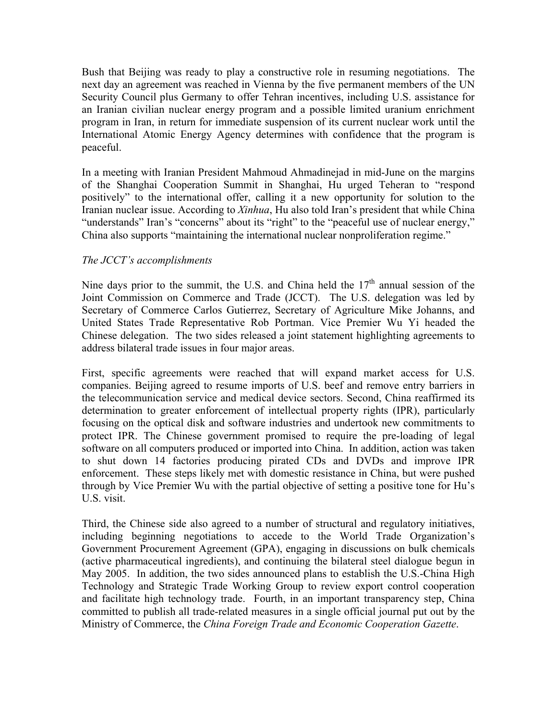Bush that Beijing was ready to play a constructive role in resuming negotiations. The next day an agreement was reached in Vienna by the five permanent members of the UN Security Council plus Germany to offer Tehran incentives, including U.S. assistance for an Iranian civilian nuclear energy program and a possible limited uranium enrichment program in Iran, in return for immediate suspension of its current nuclear work until the International Atomic Energy Agency determines with confidence that the program is peaceful.

In a meeting with Iranian President Mahmoud Ahmadinejad in mid-June on the margins of the Shanghai Cooperation Summit in Shanghai, Hu urged Teheran to "respond positively" to the international offer, calling it a new opportunity for solution to the Iranian nuclear issue. According to *Xinhua*, Hu also told Iran's president that while China "understands" Iran's "concerns" about its "right" to the "peaceful use of nuclear energy," China also supports "maintaining the international nuclear nonproliferation regime."

# *The JCCT's accomplishments*

Nine days prior to the summit, the U.S. and China held the  $17<sup>th</sup>$  annual session of the Joint Commission on Commerce and Trade (JCCT). The U.S. delegation was led by Secretary of Commerce Carlos Gutierrez, Secretary of Agriculture Mike Johanns, and United States Trade Representative Rob Portman. Vice Premier Wu Yi headed the Chinese delegation. The two sides released a joint statement highlighting agreements to address bilateral trade issues in four major areas.

First, specific agreements were reached that will expand market access for U.S. companies. Beijing agreed to resume imports of U.S. beef and remove entry barriers in the telecommunication service and medical device sectors. Second, China reaffirmed its determination to greater enforcement of intellectual property rights (IPR), particularly focusing on the optical disk and software industries and undertook new commitments to protect IPR. The Chinese government promised to require the pre-loading of legal software on all computers produced or imported into China. In addition, action was taken to shut down 14 factories producing pirated CDs and DVDs and improve IPR enforcement. These steps likely met with domestic resistance in China, but were pushed through by Vice Premier Wu with the partial objective of setting a positive tone for Hu's U.S. visit.

Third, the Chinese side also agreed to a number of structural and regulatory initiatives, including beginning negotiations to accede to the World Trade Organization's Government Procurement Agreement (GPA), engaging in discussions on bulk chemicals (active pharmaceutical ingredients), and continuing the bilateral steel dialogue begun in May 2005. In addition, the two sides announced plans to establish the U.S.-China High Technology and Strategic Trade Working Group to review export control cooperation and facilitate high technology trade. Fourth, in an important transparency step, China committed to publish all trade-related measures in a single official journal put out by the Ministry of Commerce, the *China Foreign Trade and Economic Cooperation Gazette*.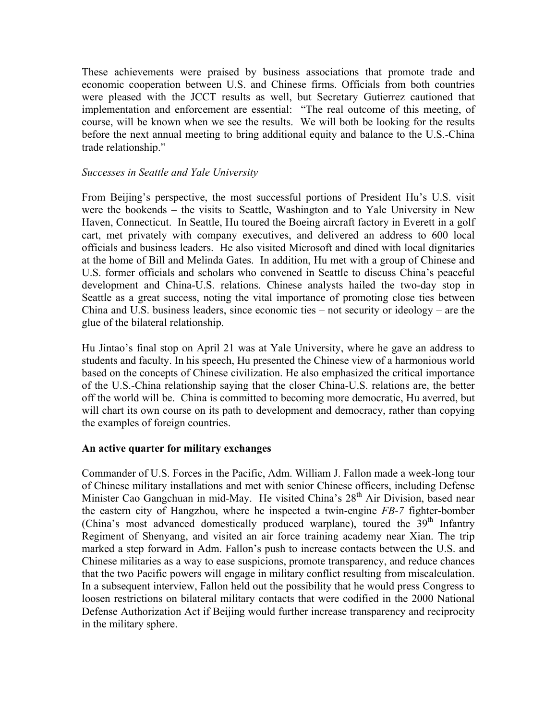These achievements were praised by business associations that promote trade and economic cooperation between U.S. and Chinese firms. Officials from both countries were pleased with the JCCT results as well, but Secretary Gutierrez cautioned that implementation and enforcement are essential: "The real outcome of this meeting, of course, will be known when we see the results. We will both be looking for the results before the next annual meeting to bring additional equity and balance to the U.S.-China trade relationship."

#### *Successes in Seattle and Yale University*

From Beijing's perspective, the most successful portions of President Hu's U.S. visit were the bookends – the visits to Seattle, Washington and to Yale University in New Haven, Connecticut. In Seattle, Hu toured the Boeing aircraft factory in Everett in a golf cart, met privately with company executives, and delivered an address to 600 local officials and business leaders. He also visited Microsoft and dined with local dignitaries at the home of Bill and Melinda Gates. In addition, Hu met with a group of Chinese and U.S. former officials and scholars who convened in Seattle to discuss China's peaceful development and China-U.S. relations. Chinese analysts hailed the two-day stop in Seattle as a great success, noting the vital importance of promoting close ties between China and U.S. business leaders, since economic ties – not security or ideology – are the glue of the bilateral relationship.

Hu Jintao's final stop on April 21 was at Yale University, where he gave an address to students and faculty. In his speech, Hu presented the Chinese view of a harmonious world based on the concepts of Chinese civilization. He also emphasized the critical importance of the U.S.-China relationship saying that the closer China-U.S. relations are, the better off the world will be. China is committed to becoming more democratic, Hu averred, but will chart its own course on its path to development and democracy, rather than copying the examples of foreign countries.

#### **An active quarter for military exchanges**

Commander of U.S. Forces in the Pacific, Adm. William J. Fallon made a week-long tour of Chinese military installations and met with senior Chinese officers, including Defense Minister Cao Gangchuan in mid-May. He visited China's 28<sup>th</sup> Air Division, based near the eastern city of Hangzhou, where he inspected a twin-engine *FB-7* fighter-bomber (China's most advanced domestically produced warplane), toured the  $39<sup>th</sup>$  Infantry Regiment of Shenyang, and visited an air force training academy near Xian. The trip marked a step forward in Adm. Fallon's push to increase contacts between the U.S. and Chinese militaries as a way to ease suspicions, promote transparency, and reduce chances that the two Pacific powers will engage in military conflict resulting from miscalculation. In a subsequent interview, Fallon held out the possibility that he would press Congress to loosen restrictions on bilateral military contacts that were codified in the 2000 National Defense Authorization Act if Beijing would further increase transparency and reciprocity in the military sphere.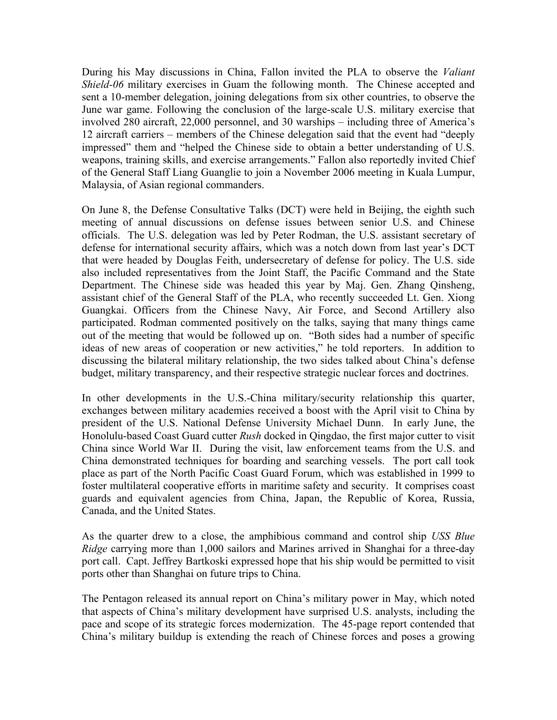During his May discussions in China, Fallon invited the PLA to observe the *Valiant Shield-06* military exercises in Guam the following month. The Chinese accepted and sent a 10-member delegation, joining delegations from six other countries, to observe the June war game. Following the conclusion of the large-scale U.S. military exercise that involved 280 aircraft, 22,000 personnel, and 30 warships – including three of America's 12 aircraft carriers – members of the Chinese delegation said that the event had "deeply impressed" them and "helped the Chinese side to obtain a better understanding of U.S. weapons, training skills, and exercise arrangements." Fallon also reportedly invited Chief of the General Staff Liang Guanglie to join a November 2006 meeting in Kuala Lumpur, Malaysia, of Asian regional commanders.

On June 8, the Defense Consultative Talks (DCT) were held in Beijing, the eighth such meeting of annual discussions on defense issues between senior U.S. and Chinese officials. The U.S. delegation was led by Peter Rodman, the U.S. assistant secretary of defense for international security affairs, which was a notch down from last year's DCT that were headed by Douglas Feith, undersecretary of defense for policy. The U.S. side also included representatives from the Joint Staff, the Pacific Command and the State Department. The Chinese side was headed this year by Maj. Gen. Zhang Qinsheng, assistant chief of the General Staff of the PLA, who recently succeeded Lt. Gen. Xiong Guangkai. Officers from the Chinese Navy, Air Force, and Second Artillery also participated. Rodman commented positively on the talks, saying that many things came out of the meeting that would be followed up on. "Both sides had a number of specific ideas of new areas of cooperation or new activities," he told reporters. In addition to discussing the bilateral military relationship, the two sides talked about China's defense budget, military transparency, and their respective strategic nuclear forces and doctrines.

In other developments in the U.S.-China military/security relationship this quarter, exchanges between military academies received a boost with the April visit to China by president of the U.S. National Defense University Michael Dunn. In early June, the Honolulu-based Coast Guard cutter *Rush* docked in Qingdao, the first major cutter to visit China since World War II. During the visit, law enforcement teams from the U.S. and China demonstrated techniques for boarding and searching vessels. The port call took place as part of the North Pacific Coast Guard Forum, which was established in 1999 to foster multilateral cooperative efforts in maritime safety and security. It comprises coast guards and equivalent agencies from China, Japan, the Republic of Korea, Russia, Canada, and the United States.

As the quarter drew to a close, the amphibious command and control ship *USS Blue Ridge* carrying more than 1,000 sailors and Marines arrived in Shanghai for a three-day port call. Capt. Jeffrey Bartkoski expressed hope that his ship would be permitted to visit ports other than Shanghai on future trips to China.

The Pentagon released its annual report on China's military power in May, which noted that aspects of China's military development have surprised U.S. analysts, including the pace and scope of its strategic forces modernization. The 45-page report contended that China's military buildup is extending the reach of Chinese forces and poses a growing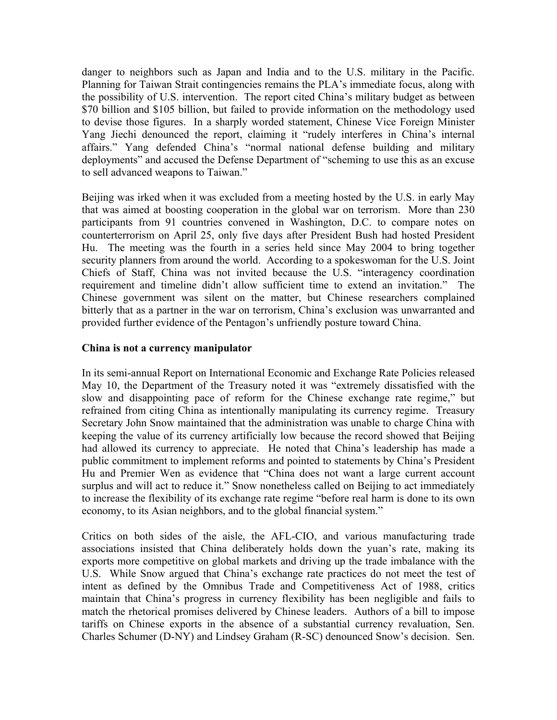danger to neighbors such as Japan and India and to the U.S. military in the Pacific. Planning for Taiwan Strait contingencies remains the PLA's immediate focus, along with the possibility of U.S. intervention. The report cited China's military budget as between \$70 billion and \$105 billion, but failed to provide information on the methodology used to devise those figures. In a sharply worded statement, Chinese Vice Foreign Minister Yang Jiechi denounced the report, claiming it "rudely interferes in China's internal affairs." Yang defended China's "normal national defense building and military deployments" and accused the Defense Department of "scheming to use this as an excuse to sell advanced weapons to Taiwan."

Beijing was irked when it was excluded from a meeting hosted by the U.S. in early May that was aimed at boosting cooperation in the global war on terrorism. More than 230 participants from 91 countries convened in Washington, D.C. to compare notes on counterterrorism on April 25, only five days after President Bush had hosted President Hu. The meeting was the fourth in a series held since May 2004 to bring together security planners from around the world. According to a spokeswoman for the U.S. Joint Chiefs of Staff, China was not invited because the U.S. "interagency coordination requirement and timeline didn't allow sufficient time to extend an invitation." The Chinese government was silent on the matter, but Chinese researchers complained bitterly that as a partner in the war on terrorism, China's exclusion was unwarranted and provided further evidence of the Pentagon's unfriendly posture toward China.

#### **China is not a currency manipulator**

In its semi-annual Report on International Economic and Exchange Rate Policies released May 10, the Department of the Treasury noted it was "extremely dissatisfied with the slow and disappointing pace of reform for the Chinese exchange rate regime," but refrained from citing China as intentionally manipulating its currency regime. Treasury Secretary John Snow maintained that the administration was unable to charge China with keeping the value of its currency artificially low because the record showed that Beijing had allowed its currency to appreciate. He noted that China's leadership has made a public commitment to implement reforms and pointed to statements by China's President Hu and Premier Wen as evidence that "China does not want a large current account surplus and will act to reduce it." Snow nonetheless called on Beijing to act immediately to increase the flexibility of its exchange rate regime "before real harm is done to its own economy, to its Asian neighbors, and to the global financial system."

Critics on both sides of the aisle, the AFL-CIO, and various manufacturing trade associations insisted that China deliberately holds down the yuan's rate, making its exports more competitive on global markets and driving up the trade imbalance with the U.S. While Snow argued that China's exchange rate practices do not meet the test of intent as defined by the Omnibus Trade and Competitiveness Act of 1988, critics maintain that China's progress in currency flexibility has been negligible and fails to match the rhetorical promises delivered by Chinese leaders. Authors of a bill to impose tariffs on Chinese exports in the absence of a substantial currency revaluation, Sen. Charles Schumer (D-NY) and Lindsey Graham (R-SC) denounced Snow's decision. Sen.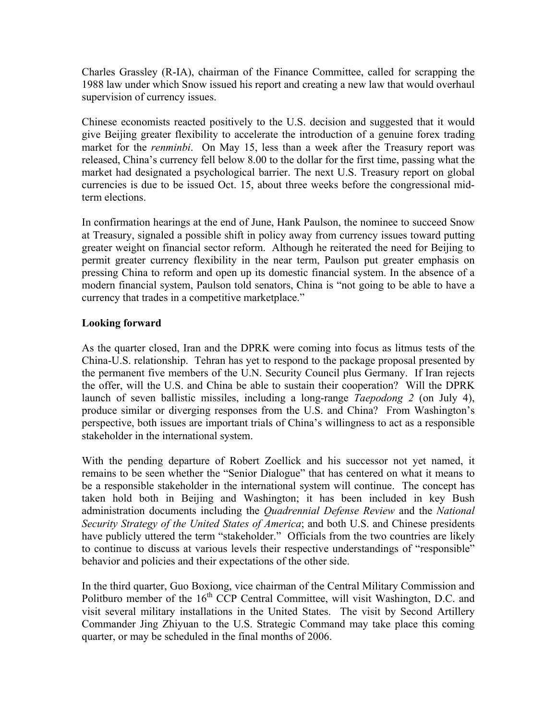Charles Grassley (R-IA), chairman of the Finance Committee, called for scrapping the 1988 law under which Snow issued his report and creating a new law that would overhaul supervision of currency issues.

Chinese economists reacted positively to the U.S. decision and suggested that it would give Beijing greater flexibility to accelerate the introduction of a genuine forex trading market for the *renminbi*. On May 15, less than a week after the Treasury report was released, China's currency fell below 8.00 to the dollar for the first time, passing what the market had designated a psychological barrier. The next U.S. Treasury report on global currencies is due to be issued Oct. 15, about three weeks before the congressional midterm elections.

In confirmation hearings at the end of June, Hank Paulson, the nominee to succeed Snow at Treasury, signaled a possible shift in policy away from currency issues toward putting greater weight on financial sector reform. Although he reiterated the need for Beijing to permit greater currency flexibility in the near term, Paulson put greater emphasis on pressing China to reform and open up its domestic financial system. In the absence of a modern financial system, Paulson told senators, China is "not going to be able to have a currency that trades in a competitive marketplace."

# **Looking forward**

As the quarter closed, Iran and the DPRK were coming into focus as litmus tests of the China-U.S. relationship. Tehran has yet to respond to the package proposal presented by the permanent five members of the U.N. Security Council plus Germany. If Iran rejects the offer, will the U.S. and China be able to sustain their cooperation? Will the DPRK launch of seven ballistic missiles, including a long-range *Taepodong 2* (on July 4), produce similar or diverging responses from the U.S. and China? From Washington's perspective, both issues are important trials of China's willingness to act as a responsible stakeholder in the international system.

With the pending departure of Robert Zoellick and his successor not yet named, it remains to be seen whether the "Senior Dialogue" that has centered on what it means to be a responsible stakeholder in the international system will continue. The concept has taken hold both in Beijing and Washington; it has been included in key Bush administration documents including the *Quadrennial Defense Review* and the *National Security Strategy of the United States of America*; and both U.S. and Chinese presidents have publicly uttered the term "stakeholder." Officials from the two countries are likely to continue to discuss at various levels their respective understandings of "responsible" behavior and policies and their expectations of the other side.

In the third quarter, Guo Boxiong, vice chairman of the Central Military Commission and Politburo member of the 16<sup>th</sup> CCP Central Committee, will visit Washington, D.C. and visit several military installations in the United States. The visit by Second Artillery Commander Jing Zhiyuan to the U.S. Strategic Command may take place this coming quarter, or may be scheduled in the final months of 2006.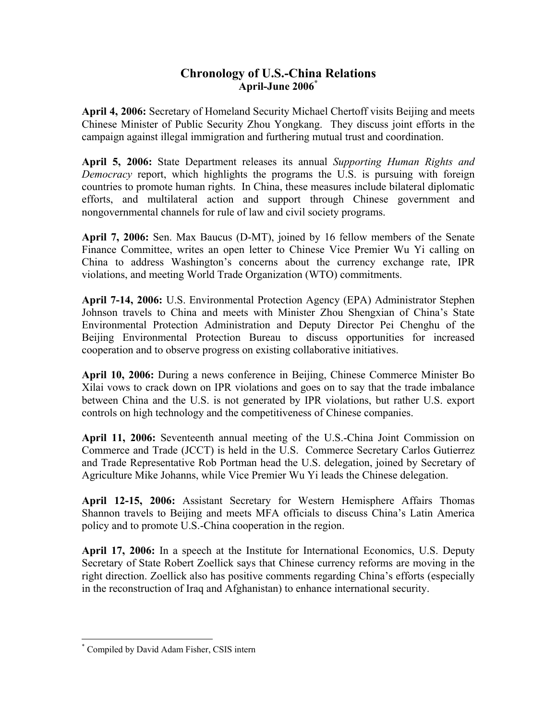# **Chronology of U.S.-China Relations April-June 2006[\\*](#page-8-0)**

**April 4, 2006:** Secretary of Homeland Security Michael Chertoff visits Beijing and meets Chinese Minister of Public Security Zhou Yongkang. They discuss joint efforts in the campaign against illegal immigration and furthering mutual trust and coordination.

**April 5, 2006:** State Department releases its annual *Supporting Human Rights and Democracy* report, which highlights the programs the U.S. is pursuing with foreign countries to promote human rights. In China, these measures include bilateral diplomatic efforts, and multilateral action and support through Chinese government and nongovernmental channels for rule of law and civil society programs.

**April 7, 2006:** Sen. Max Baucus (D-MT), joined by 16 fellow members of the Senate Finance Committee, writes an open letter to Chinese Vice Premier Wu Yi calling on China to address Washington's concerns about the currency exchange rate, IPR violations, and meeting World Trade Organization (WTO) commitments.

**April 7-14, 2006:** U.S. Environmental Protection Agency (EPA) Administrator Stephen Johnson travels to China and meets with Minister Zhou Shengxian of China's State Environmental Protection Administration and Deputy Director Pei Chenghu of the Beijing Environmental Protection Bureau to discuss opportunities for increased cooperation and to observe progress on existing collaborative initiatives.

**April 10, 2006:** During a news conference in Beijing, Chinese Commerce Minister Bo Xilai vows to crack down on IPR violations and goes on to say that the trade imbalance between China and the U.S. is not generated by IPR violations, but rather U.S. export controls on high technology and the competitiveness of Chinese companies.

**April 11, 2006:** Seventeenth annual meeting of the U.S.-China Joint Commission on Commerce and Trade (JCCT) is held in the U.S. Commerce Secretary Carlos Gutierrez and Trade Representative Rob Portman head the U.S. delegation, joined by Secretary of Agriculture Mike Johanns, while Vice Premier Wu Yi leads the Chinese delegation.

**April 12-15, 2006:** Assistant Secretary for Western Hemisphere Affairs Thomas Shannon travels to Beijing and meets MFA officials to discuss China's Latin America policy and to promote U.S.-China cooperation in the region.

**April 17, 2006:** In a speech at the Institute for International Economics, U.S. Deputy Secretary of State Robert Zoellick says that Chinese currency reforms are moving in the right direction. Zoellick also has positive comments regarding China's efforts (especially in the reconstruction of Iraq and Afghanistan) to enhance international security.

<u>.</u>

<span id="page-8-0"></span><sup>\*</sup> Compiled by David Adam Fisher, CSIS intern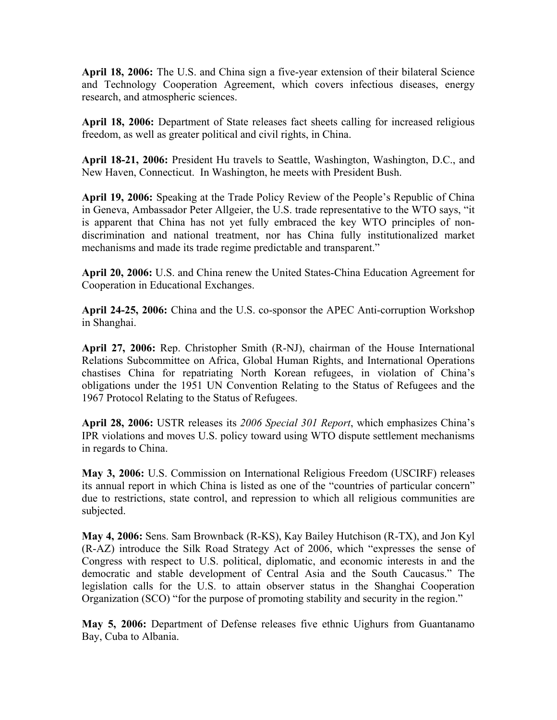**April 18, 2006:** The U.S. and China sign a five-year extension of their bilateral Science and Technology Cooperation Agreement, which covers infectious diseases, energy research, and atmospheric sciences.

**April 18, 2006:** Department of State releases fact sheets calling for increased religious freedom, as well as greater political and civil rights, in China.

**April 18-21, 2006:** President Hu travels to Seattle, Washington, Washington, D.C., and New Haven, Connecticut. In Washington, he meets with President Bush.

**April 19, 2006:** Speaking at the Trade Policy Review of the People's Republic of China in Geneva, Ambassador Peter Allgeier, the U.S. trade representative to the WTO says, "it is apparent that China has not yet fully embraced the key WTO principles of nondiscrimination and national treatment, nor has China fully institutionalized market mechanisms and made its trade regime predictable and transparent."

**April 20, 2006:** U.S. and China renew the United States-China Education Agreement for Cooperation in Educational Exchanges.

**April 24-25, 2006:** China and the U.S. co-sponsor the APEC Anti-corruption Workshop in Shanghai.

**April 27, 2006:** Rep. Christopher Smith (R-NJ), chairman of the House International Relations Subcommittee on Africa, Global Human Rights, and International Operations chastises China for repatriating North Korean refugees, in violation of China's obligations under the 1951 UN Convention Relating to the Status of Refugees and the 1967 Protocol Relating to the Status of Refugees.

**April 28, 2006:** USTR releases its *2006 Special 301 Report*, which emphasizes China's IPR violations and moves U.S. policy toward using WTO dispute settlement mechanisms in regards to China.

**May 3, 2006:** U.S. Commission on International Religious Freedom (USCIRF) releases its annual report in which China is listed as one of the "countries of particular concern" due to restrictions, state control, and repression to which all religious communities are subjected.

**May 4, 2006:** Sens. Sam Brownback (R-KS), Kay Bailey Hutchison (R-TX), and Jon Kyl (R-AZ) introduce the Silk Road Strategy Act of 2006, which "expresses the sense of Congress with respect to U.S. political, diplomatic, and economic interests in and the democratic and stable development of Central Asia and the South Caucasus." The legislation calls for the U.S. to attain observer status in the Shanghai Cooperation Organization (SCO) "for the purpose of promoting stability and security in the region."

**May 5, 2006:** Department of Defense releases five ethnic Uighurs from Guantanamo Bay, Cuba to Albania.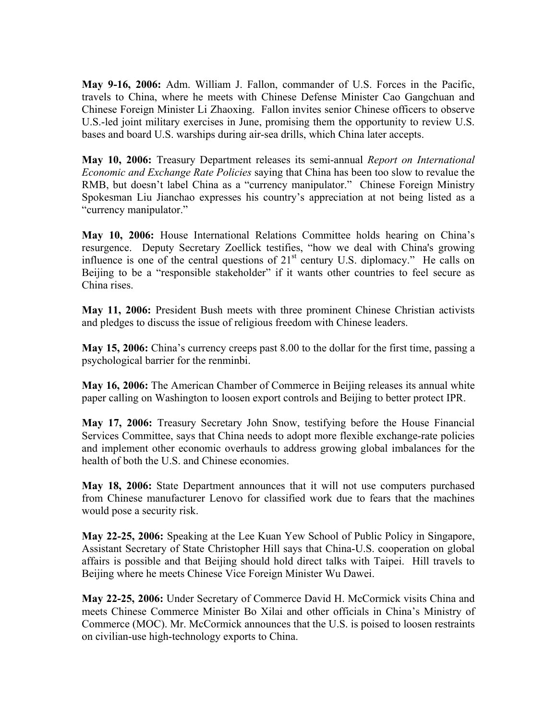**May 9-16, 2006:** Adm. William J. Fallon, commander of U.S. Forces in the Pacific, travels to China, where he meets with Chinese Defense Minister Cao Gangchuan and Chinese Foreign Minister Li Zhaoxing. Fallon invites senior Chinese officers to observe U.S.-led joint military exercises in June, promising them the opportunity to review U.S. bases and board U.S. warships during air-sea drills, which China later accepts.

**May 10, 2006:** Treasury Department releases its semi-annual *Report on International Economic and Exchange Rate Policies* saying that China has been too slow to revalue the RMB, but doesn't label China as a "currency manipulator." Chinese Foreign Ministry Spokesman Liu Jianchao expresses his country's appreciation at not being listed as a "currency manipulator."

**May 10, 2006:** House International Relations Committee holds hearing on China's resurgence.Deputy Secretary Zoellick testifies, "how we deal with China's growing influence is one of the central questions of  $21<sup>st</sup>$  century U.S. diplomacy." He calls on Beijing to be a "responsible stakeholder" if it wants other countries to feel secure as China rises.

**May 11, 2006:** President Bush meets with three prominent Chinese Christian activists and pledges to discuss the issue of religious freedom with Chinese leaders.

**May 15, 2006:** China's currency creeps past 8.00 to the dollar for the first time, passing a psychological barrier for the renminbi.

**May 16, 2006:** The American Chamber of Commerce in Beijing releases its annual white paper calling on Washington to loosen export controls and Beijing to better protect IPR.

**May 17, 2006:** Treasury Secretary John Snow, testifying before the House Financial Services Committee, says that China needs to adopt more flexible exchange-rate policies and implement other economic overhauls to address growing global imbalances for the health of both the U.S. and Chinese economies.

**May 18, 2006:** State Department announces that it will not use computers purchased from Chinese manufacturer Lenovo for classified work due to fears that the machines would pose a security risk.

**May 22-25, 2006:** Speaking at the Lee Kuan Yew School of Public Policy in Singapore, Assistant Secretary of State Christopher Hill says that China-U.S. cooperation on global affairs is possible and that Beijing should hold direct talks with Taipei. Hill travels to Beijing where he meets Chinese Vice Foreign Minister Wu Dawei.

**May 22-25, 2006:** Under Secretary of Commerce David H. McCormick visits China and meets Chinese Commerce Minister Bo Xilai and other officials in China's Ministry of Commerce (MOC). Mr. McCormick announces that the U.S. is poised to loosen restraints on civilian-use high-technology exports to China.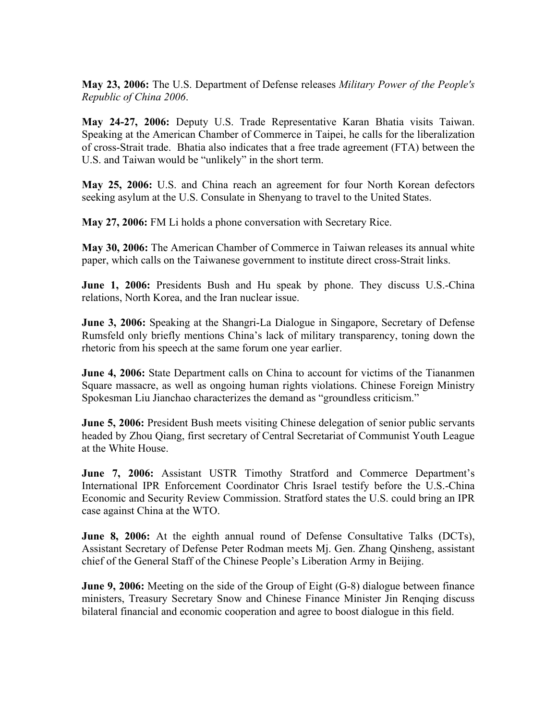**May 23, 2006:** The U.S. Department of Defense releases *Military Power of the People's Republic of China 2006*.

**May 24-27, 2006:** Deputy U.S. Trade Representative Karan Bhatia visits Taiwan. Speaking at the American Chamber of Commerce in Taipei, he calls for the liberalization of cross-Strait trade. Bhatia also indicates that a free trade agreement (FTA) between the U.S. and Taiwan would be "unlikely" in the short term.

**May 25, 2006:** U.S. and China reach an agreement for four North Korean defectors seeking asylum at the U.S. Consulate in Shenyang to travel to the United States.

**May 27, 2006:** FM Li holds a phone conversation with Secretary Rice.

**May 30, 2006:** The American Chamber of Commerce in Taiwan releases its annual white paper, which calls on the Taiwanese government to institute direct cross-Strait links.

**June 1, 2006:** Presidents Bush and Hu speak by phone. They discuss U.S.-China relations, North Korea, and the Iran nuclear issue.

**June 3, 2006:** Speaking at the Shangri-La Dialogue in Singapore, Secretary of Defense Rumsfeld only briefly mentions China's lack of military transparency, toning down the rhetoric from his speech at the same forum one year earlier.

**June 4, 2006:** State Department calls on China to account for victims of the Tiananmen Square massacre, as well as ongoing human rights violations. Chinese Foreign Ministry Spokesman Liu Jianchao characterizes the demand as "groundless criticism."

**June 5, 2006:** President Bush meets visiting Chinese delegation of senior public servants headed by Zhou Qiang, first secretary of Central Secretariat of Communist Youth League at the White House.

**June 7, 2006:** Assistant USTR Timothy Stratford and Commerce Department's International IPR Enforcement Coordinator Chris Israel testify before the U.S.-China Economic and Security Review Commission. Stratford states the U.S. could bring an IPR case against China at the WTO.

**June 8, 2006:** At the eighth annual round of Defense Consultative Talks (DCTs), Assistant Secretary of Defense Peter Rodman meets Mj. Gen. Zhang Qinsheng, assistant chief of the General Staff of the Chinese People's Liberation Army in Beijing.

**June 9, 2006:** Meeting on the side of the Group of Eight (G-8) dialogue between finance ministers, Treasury Secretary Snow and Chinese Finance Minister Jin Renqing discuss bilateral financial and economic cooperation and agree to boost dialogue in this field.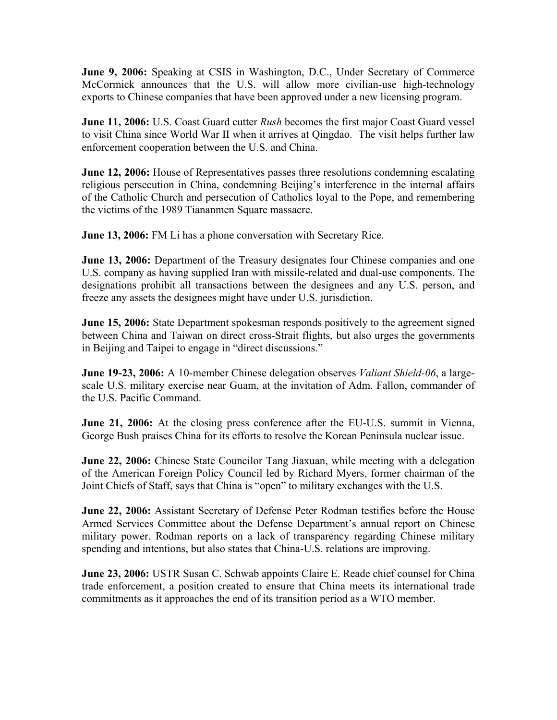**June 9, 2006:** Speaking at CSIS in Washington, D.C., Under Secretary of Commerce McCormick announces that the U.S. will allow more civilian-use high-technology exports to Chinese companies that have been approved under a new licensing program.

**June 11, 2006:** U.S. Coast Guard cutter *Rush* becomes the first major Coast Guard vessel to visit China since World War II when it arrives at Qingdao. The visit helps further law enforcement cooperation between the U.S. and China.

**June 12, 2006:** House of Representatives passes three resolutions condemning escalating religious persecution in China, condemning Beijing's interference in the internal affairs of the Catholic Church and persecution of Catholics loyal to the Pope, and remembering the victims of the 1989 Tiananmen Square massacre.

**June 13, 2006:** FM Li has a phone conversation with Secretary Rice.

**June 13, 2006:** Department of the Treasury designates four Chinese companies and one U.S. company as having supplied Iran with missile-related and dual-use components. The designations prohibit all transactions between the designees and any U.S. person, and freeze any assets the designees might have under U.S. jurisdiction.

**June 15, 2006:** State Department spokesman responds positively to the agreement signed between China and Taiwan on direct cross-Strait flights, but also urges the governments in Beijing and Taipei to engage in "direct discussions."

**June 19-23, 2006:** A 10-member Chinese delegation observes *Valiant Shield-06*, a largescale U.S. military exercise near Guam, at the invitation of Adm. Fallon, commander of the U.S. Pacific Command.

**June 21, 2006:** At the closing press conference after the EU-U.S. summit in Vienna, George Bush praises China for its efforts to resolve the Korean Peninsula nuclear issue.

**June 22, 2006:** Chinese State Councilor Tang Jiaxuan, while meeting with a delegation of the American Foreign Policy Council led by Richard Myers, former chairman of the Joint Chiefs of Staff, says that China is "open" to military exchanges with the U.S.

**June 22, 2006:** Assistant Secretary of Defense Peter Rodman testifies before the House Armed Services Committee about the Defense Department's annual report on Chinese military power. Rodman reports on a lack of transparency regarding Chinese military spending and intentions, but also states that China-U.S. relations are improving.

**June 23, 2006:** USTR Susan C. Schwab appoints Claire E. Reade chief counsel for China trade enforcement, a position created to ensure that China meets its international trade commitments as it approaches the end of its transition period as a WTO member.